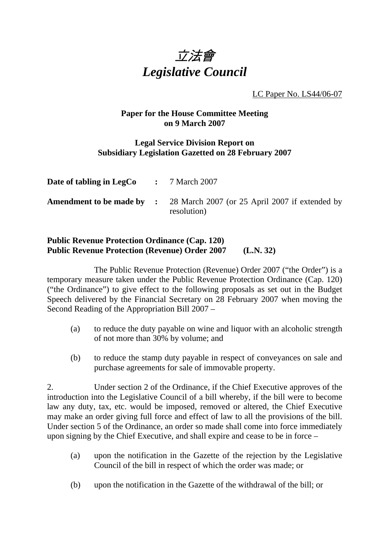

LC Paper No. LS44/06-07

## **Paper for the House Committee Meeting on 9 March 2007**

## **Legal Service Division Report on Subsidiary Legislation Gazetted on 28 February 2007**

| Date of tabling in LegCo | $\therefore$ 7 March 2007                                                                      |
|--------------------------|------------------------------------------------------------------------------------------------|
|                          | <b>Amendment to be made by :</b> 28 March 2007 (or 25 April 2007 if extended by<br>resolution) |

## **Public Revenue Protection Ordinance (Cap. 120) Public Revenue Protection (Revenue) Order 2007 (L.N. 32)**

 The Public Revenue Protection (Revenue) Order 2007 ("the Order") is a temporary measure taken under the Public Revenue Protection Ordinance (Cap. 120) ("the Ordinance") to give effect to the following proposals as set out in the Budget Speech delivered by the Financial Secretary on 28 February 2007 when moving the Second Reading of the Appropriation Bill 2007 –

- (a) to reduce the duty payable on wine and liquor with an alcoholic strength of not more than 30% by volume; and
- (b) to reduce the stamp duty payable in respect of conveyances on sale and purchase agreements for sale of immovable property.

2. Under section 2 of the Ordinance, if the Chief Executive approves of the introduction into the Legislative Council of a bill whereby, if the bill were to become law any duty, tax, etc. would be imposed, removed or altered, the Chief Executive may make an order giving full force and effect of law to all the provisions of the bill. Under section 5 of the Ordinance, an order so made shall come into force immediately upon signing by the Chief Executive, and shall expire and cease to be in force –

- (a) upon the notification in the Gazette of the rejection by the Legislative Council of the bill in respect of which the order was made; or
- (b) upon the notification in the Gazette of the withdrawal of the bill; or